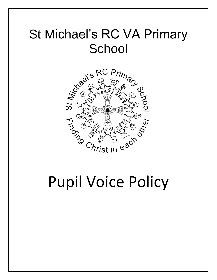# St Michael's RC VA Primary **School**



# Pupil Voice Policy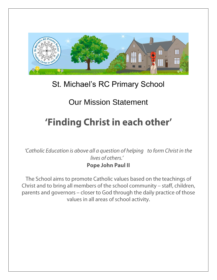

### St. Michael's RC Primary School

## Our Mission Statement

## 'Finding Christ in each other'

'Catholic Education is above all a question of helping to form Christ in the lives of others.' **Pope John Paul II** 

The School aims to promote Catholic values based on the teachings of Christ and to bring all members of the school community - staff, children, parents and governors - closer to God through the daily practice of those values in all areas of school activity.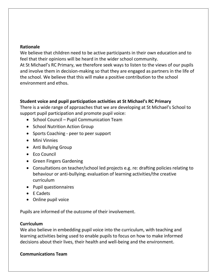#### **Rationale**

We believe that children need to be active participants in their own education and to feel that their opinions will be heard in the wider school community.

At St Michael's RC Primary, we therefore seek ways to listen to the views of our pupils and involve them in decision-making so that they are engaged as partners in the life of the school. We believe that this will make a positive contribution to the school environment and ethos.

#### **Student voice and pupil participation activities at St Michael's RC Primary**

There is a wide range of approaches that we are developing at St Michael's School to support pupil participation and promote pupil voice:

- School Council Pupil Communication Team
- School Nutrition Action Group
- Sports Coaching peer to peer support
- Mini Vinnies
- Anti Bullying Group
- Eco Council
- Green Fingers Gardening
- Consultations on teacher/school led projects e.g. re: drafting policies relating to behaviour or anti-bullying; evaluation of learning activities/the creative curriculum
- Pupil questionnaires
- $\bullet$  E Cadets
- Online pupil voice

Pupils are informed of the outcome of their involvement.

#### **Curriculum**

We also believe in embedding pupil voice into the curriculum, with teaching and learning activities being used to enable pupils to focus on how to make informed decisions about their lives, their health and well-being and the environment.

#### **Communications Team**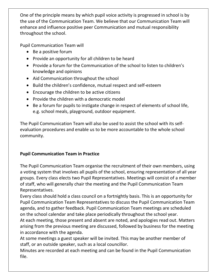One of the principle means by which pupil voice activity is progressed in school is by the use of the Communication Team. We believe that our Communication Team will enhance and influence positive peer Communication and mutual responsibility throughout the school.

Pupil Communication Team will

- Be a positive forum
- Provide an opportunity for all children to be heard
- Provide a forum for the Communication of the school to listen to children's knowledge and opinions
- Aid Communication throughout the school
- Build the children's confidence, mutual respect and self-esteem
- Encourage the children to be active citizens
- Provide the children with a democratic model
- Be a forum for pupils to instigate change in respect of elements of school life, e.g. school meals, playground, outdoor equipment.

The Pupil Communication Team will also be used to assist the school with its selfevaluation procedures and enable us to be more accountable to the whole school community.

#### **Pupil Communication Team in Practice**

The Pupil Communication Team organise the recruitment of their own members, using a voting system that involves all pupils of the school, ensuring representation of all year groups. Every class elects two Pupil Representatives. Meetings will consist of a member of staff, who will generally chair the meeting and the Pupil Communication Team Representatives.

Every class should hold a class council on a fortnightly basis. This is an opportunity for Pupil Communication Team Representatives to discuss the Pupil Communication Team agenda, and to gather feedback. Pupil Communication Team meetings are scheduled on the school calendar and take place periodically throughout the school year.

At each meeting, those present and absent are noted, and apologies read out. Matters arising from the previous meeting are discussed, followed by business for the meeting in accordance with the agenda.

At some meetings a guest speaker will be invited. This may be another member of staff, or an outside speaker, such as a local councillor.

Minutes are recorded at each meeting and can be found in the Pupil Communication file.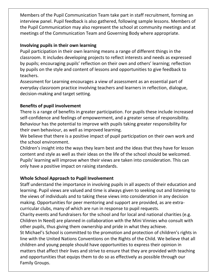Members of the Pupil Communication Team take part in staff recruitment, forming an interview panel. Pupil feedback is also gathered, following sample lessons. Members of the Pupil Communication may also represent the school at community meetings and at meetings of the Communication Team and Governing Body where appropriate.

#### **Involving pupils in their own learning**

Pupil participation in their own learning means a range of different things in the classroom. It includes developing projects to reflect interests and needs as expressed by pupils; encouraging pupils' reflection on their own and others' learning; reflection by pupils on the style and content of lessons and opportunities to give feedback to teachers.

Assessment for Learning encourages a view of assessment as an essential part of everyday classroom practice involving teachers and learners in reflection, dialogue, decision-making and target setting.

#### **Benefits of pupil involvement**

There is a range of benefits in greater participation. For pupils these include increased self-confidence and feelings of empowerment, and a greater sense of responsibility. Behaviour has the potential to improve with pupils taking greater responsibility for their own behaviour, as well as improved learning.

We believe that there is a positive impact of pupil participation on their own work and the school environment.

Children's insight into the ways they learn best and the ideas that they have for lesson content and style as well as their ideas on the life of the school should be welcomed. Pupils' learning will improve when their views are taken into consideration. This can only have a positive impact on raising standards.

#### **Whole School Approach to Pupil Involvement**

Staff understand the importance in involving pupils in all aspects of their education and learning. Pupil views are valued and time is always given to seeking out and listening to the views of individuals and to taking these views into consideration in any decision making. Opportunities for peer mentoring and support are provided, as are extracurricular clubs, many of which are run in response to pupil requests.

Charity events and fundraisers for the school and for local and national charities (e.g. Children In Need) are planned in collaboration with the Mini Vinnies who consult with other pupils, thus giving them ownership and pride in what they achieve.

St Michael's School is committed to the promotion and protection of children's rights in line with the United Nations Conventions on the Rights of the Child. We believe that all children and young people should have opportunities to express their opinion in matters that affect their lives and strive to ensure that they are provided with teaching and opportunities that equips them to do so as effectively as possible through our Family Groups.